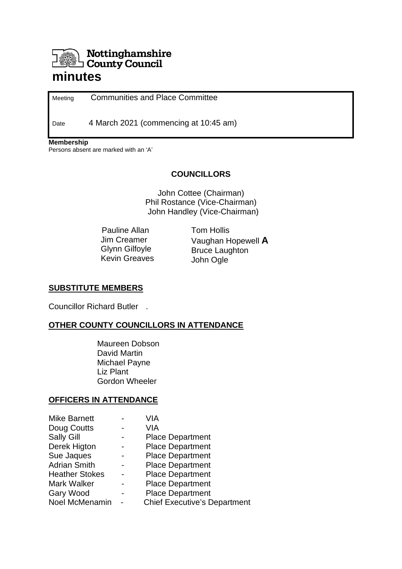# Nottinghamshire **County Council**

# **minutes**

Meeting Communities and Place Committee

Date 4 March 2021 (commencing at 10:45 am)

**Membership**

Persons absent are marked with an 'A'

#### **COUNCILLORS**

John Cottee (Chairman) Phil Rostance (Vice-Chairman) John Handley (Vice-Chairman)

 Pauline Allan Jim Creamer Glynn Gilfoyle Kevin Greaves Tom Hollis Vaughan Hopewell **A** Bruce Laughton John Ogle

#### **SUBSTITUTE MEMBERS**

Councillor Richard Butler .

### **OTHER COUNTY COUNCILLORS IN ATTENDANCE**

Maureen Dobson David Martin Michael Payne Liz Plant Gordon Wheeler

#### **OFFICERS IN ATTENDANCE**

| Mike Barnett          | VIA                                 |
|-----------------------|-------------------------------------|
| Doug Coutts           | VIA                                 |
| <b>Sally Gill</b>     | <b>Place Department</b>             |
| Derek Higton          | <b>Place Department</b>             |
| Sue Jaques            | <b>Place Department</b>             |
| <b>Adrian Smith</b>   | <b>Place Department</b>             |
| <b>Heather Stokes</b> | <b>Place Department</b>             |
| Mark Walker           | <b>Place Department</b>             |
| Gary Wood             | <b>Place Department</b>             |
| Noel McMenamin        | <b>Chief Executive's Department</b> |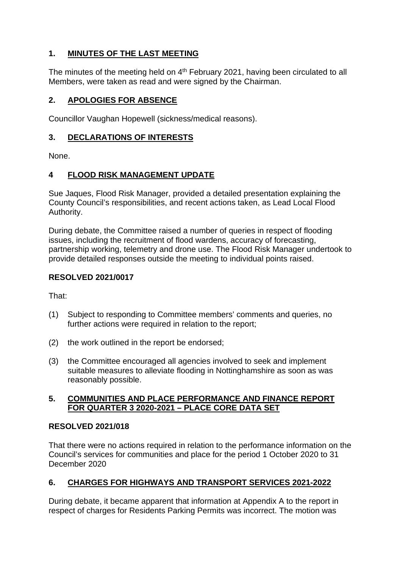# **1. MINUTES OF THE LAST MEETING**

The minutes of the meeting held on  $4<sup>th</sup>$  February 2021, having been circulated to all Members, were taken as read and were signed by the Chairman.

# **2. APOLOGIES FOR ABSENCE**

Councillor Vaughan Hopewell (sickness/medical reasons).

# **3. DECLARATIONS OF INTERESTS**

None.

# **4 FLOOD RISK MANAGEMENT UPDATE**

Sue Jaques, Flood Risk Manager, provided a detailed presentation explaining the County Council's responsibilities, and recent actions taken, as Lead Local Flood Authority.

During debate, the Committee raised a number of queries in respect of flooding issues, including the recruitment of flood wardens, accuracy of forecasting, partnership working, telemetry and drone use. The Flood Risk Manager undertook to provide detailed responses outside the meeting to individual points raised.

# **RESOLVED 2021/0017**

That:

- (1) Subject to responding to Committee members' comments and queries, no further actions were required in relation to the report;
- (2) the work outlined in the report be endorsed;
- (3) the Committee encouraged all agencies involved to seek and implement suitable measures to alleviate flooding in Nottinghamshire as soon as was reasonably possible.

### **5. COMMUNITIES AND PLACE PERFORMANCE AND FINANCE REPORT FOR QUARTER 3 2020-2021 – PLACE CORE DATA SET**

### **RESOLVED 2021/018**

That there were no actions required in relation to the performance information on the Council's services for communities and place for the period 1 October 2020 to 31 December 2020

# **6. CHARGES FOR HIGHWAYS AND TRANSPORT SERVICES 2021-2022**

During debate, it became apparent that information at Appendix A to the report in respect of charges for Residents Parking Permits was incorrect. The motion was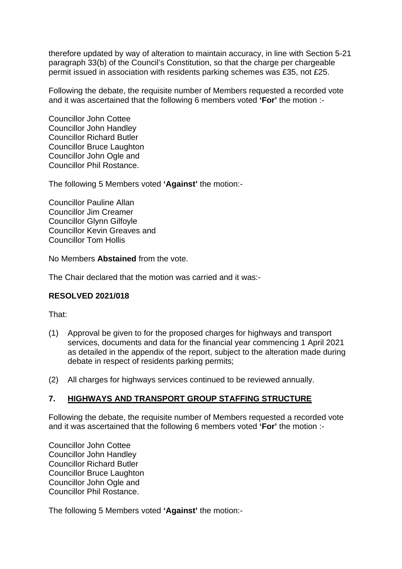therefore updated by way of alteration to maintain accuracy, in line with Section 5-21 paragraph 33(b) of the Council's Constitution, so that the charge per chargeable permit issued in association with residents parking schemes was £35, not £25.

Following the debate, the requisite number of Members requested a recorded vote and it was ascertained that the following 6 members voted **'For'** the motion :-

Councillor John Cottee Councillor John Handley Councillor Richard Butler Councillor Bruce Laughton Councillor John Ogle and Councillor Phil Rostance.

The following 5 Members voted **'Against'** the motion:-

Councillor Pauline Allan Councillor Jim Creamer Councillor Glynn Gilfoyle Councillor Kevin Greaves and Councillor Tom Hollis

No Members **Abstained** from the vote.

The Chair declared that the motion was carried and it was:-

#### **RESOLVED 2021/018**

That:

- (1) Approval be given to for the proposed charges for highways and transport services, documents and data for the financial year commencing 1 April 2021 as detailed in the appendix of the report, subject to the alteration made during debate in respect of residents parking permits;
- (2) All charges for highways services continued to be reviewed annually.

#### **7. HIGHWAYS AND TRANSPORT GROUP STAFFING STRUCTURE**

Following the debate, the requisite number of Members requested a recorded vote and it was ascertained that the following 6 members voted **'For'** the motion :-

Councillor John Cottee Councillor John Handley Councillor Richard Butler Councillor Bruce Laughton Councillor John Ogle and Councillor Phil Rostance.

The following 5 Members voted **'Against'** the motion:-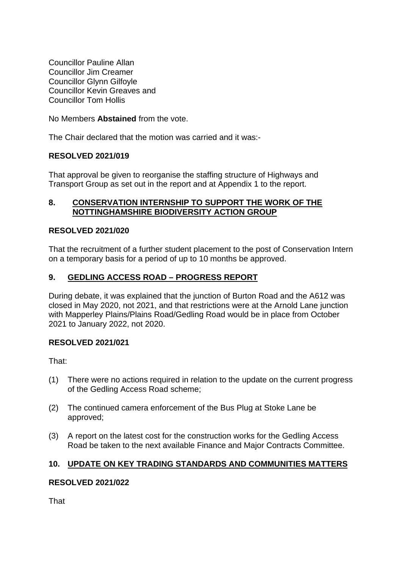Councillor Pauline Allan Councillor Jim Creamer Councillor Glynn Gilfoyle Councillor Kevin Greaves and Councillor Tom Hollis

No Members **Abstained** from the vote.

The Chair declared that the motion was carried and it was:-

#### **RESOLVED 2021/019**

That approval be given to reorganise the staffing structure of Highways and Transport Group as set out in the report and at Appendix 1 to the report.

#### **8. CONSERVATION INTERNSHIP TO SUPPORT THE WORK OF THE NOTTINGHAMSHIRE BIODIVERSITY ACTION GROUP**

#### **RESOLVED 2021/020**

That the recruitment of a further student placement to the post of Conservation Intern on a temporary basis for a period of up to 10 months be approved.

#### **9. GEDLING ACCESS ROAD – PROGRESS REPORT**

During debate, it was explained that the junction of Burton Road and the A612 was closed in May 2020, not 2021, and that restrictions were at the Arnold Lane junction with Mapperley Plains/Plains Road/Gedling Road would be in place from October 2021 to January 2022, not 2020.

#### **RESOLVED 2021/021**

That:

- (1) There were no actions required in relation to the update on the current progress of the Gedling Access Road scheme;
- (2) The continued camera enforcement of the Bus Plug at Stoke Lane be approved;
- (3) A report on the latest cost for the construction works for the Gedling Access Road be taken to the next available Finance and Major Contracts Committee.

#### **10. UPDATE ON KEY TRADING STANDARDS AND COMMUNITIES MATTERS**

#### **RESOLVED 2021/022**

**That**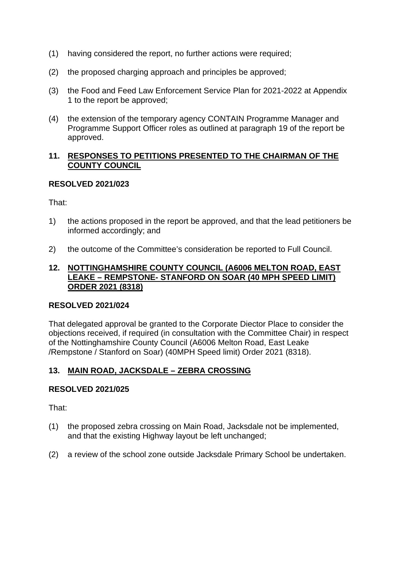- (1) having considered the report, no further actions were required;
- (2) the proposed charging approach and principles be approved;
- (3) the Food and Feed Law Enforcement Service Plan for 2021-2022 at Appendix 1 to the report be approved;
- (4) the extension of the temporary agency CONTAIN Programme Manager and Programme Support Officer roles as outlined at paragraph 19 of the report be approved.

#### **11. RESPONSES TO PETITIONS PRESENTED TO THE CHAIRMAN OF THE COUNTY COUNCIL**

#### **RESOLVED 2021/023**

That:

- 1) the actions proposed in the report be approved, and that the lead petitioners be informed accordingly; and
- 2) the outcome of the Committee's consideration be reported to Full Council.

#### **12. NOTTINGHAMSHIRE COUNTY COUNCIL (A6006 MELTON ROAD, EAST LEAKE – REMPSTONE- STANFORD ON SOAR (40 MPH SPEED LIMIT) ORDER 2021 (8318)**

#### **RESOLVED 2021/024**

That delegated approval be granted to the Corporate Diector Place to consider the objections received, if required (in consultation with the Committee Chair) in respect of the Nottinghamshire County Council (A6006 Melton Road, East Leake /Rempstone / Stanford on Soar) (40MPH Speed limit) Order 2021 (8318).

### **13. MAIN ROAD, JACKSDALE – ZEBRA CROSSING**

### **RESOLVED 2021/025**

That:

- (1) the proposed zebra crossing on Main Road, Jacksdale not be implemented, and that the existing Highway layout be left unchanged;
- (2) a review of the school zone outside Jacksdale Primary School be undertaken.